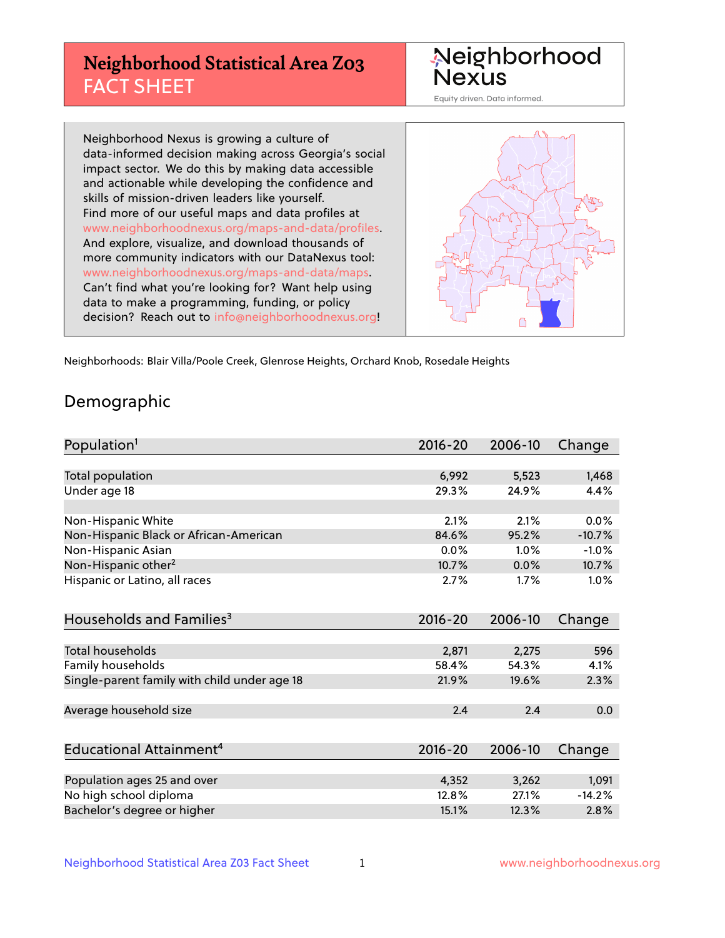# **Neighborhood Statistical Area Z03** FACT SHEET



Equity driven. Data informed.

Neighborhood Nexus is growing a culture of data-informed decision making across Georgia's social impact sector. We do this by making data accessible and actionable while developing the confidence and skills of mission-driven leaders like yourself. Find more of our useful maps and data profiles at www.neighborhoodnexus.org/maps-and-data/profiles. And explore, visualize, and download thousands of more community indicators with our DataNexus tool: www.neighborhoodnexus.org/maps-and-data/maps. Can't find what you're looking for? Want help using data to make a programming, funding, or policy decision? Reach out to [info@neighborhoodnexus.org!](mailto:info@neighborhoodnexus.org)



Neighborhoods: Blair Villa/Poole Creek, Glenrose Heights, Orchard Knob, Rosedale Heights

### Demographic

| Population <sup>1</sup>                      | $2016 - 20$ | 2006-10 | Change   |
|----------------------------------------------|-------------|---------|----------|
|                                              |             |         |          |
| Total population                             | 6,992       | 5,523   | 1,468    |
| Under age 18                                 | 29.3%       | 24.9%   | 4.4%     |
|                                              |             |         |          |
| Non-Hispanic White                           | 2.1%        | 2.1%    | 0.0%     |
| Non-Hispanic Black or African-American       | 84.6%       | 95.2%   | $-10.7%$ |
| Non-Hispanic Asian                           | $0.0\%$     | 1.0%    | $-1.0%$  |
| Non-Hispanic other <sup>2</sup>              | 10.7%       | 0.0%    | 10.7%    |
| Hispanic or Latino, all races                | 2.7%        | 1.7%    | 1.0%     |
|                                              |             |         |          |
| Households and Families <sup>3</sup>         | $2016 - 20$ | 2006-10 | Change   |
|                                              |             |         |          |
| <b>Total households</b>                      | 2,871       | 2,275   | 596      |
| Family households                            | 58.4%       | 54.3%   | 4.1%     |
| Single-parent family with child under age 18 | 21.9%       | 19.6%   | 2.3%     |
|                                              |             |         |          |
| Average household size                       | 2.4         | 2.4     | 0.0      |
|                                              |             |         |          |
| Educational Attainment <sup>4</sup>          | $2016 - 20$ | 2006-10 | Change   |
|                                              |             |         |          |
| Population ages 25 and over                  | 4,352       | 3,262   | 1,091    |
| No high school diploma                       | 12.8%       | 27.1%   | $-14.2%$ |
| Bachelor's degree or higher                  | 15.1%       | 12.3%   | 2.8%     |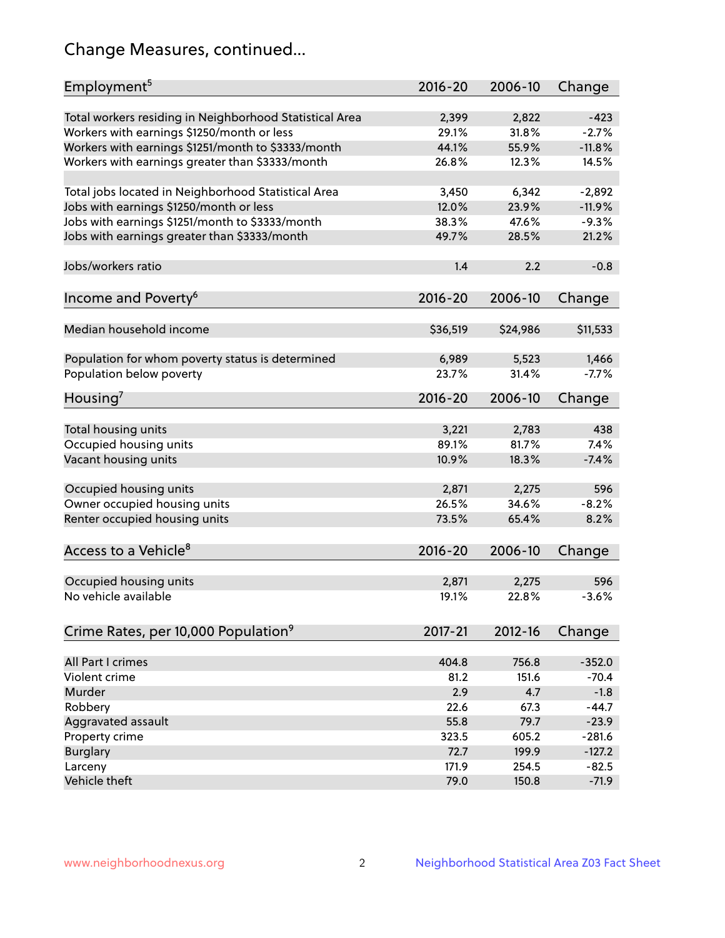# Change Measures, continued...

| Employment <sup>5</sup>                                                                               | $2016 - 20$    | 2006-10        | Change            |
|-------------------------------------------------------------------------------------------------------|----------------|----------------|-------------------|
|                                                                                                       |                |                |                   |
| Total workers residing in Neighborhood Statistical Area                                               | 2,399<br>29.1% | 2,822<br>31.8% | $-423$<br>$-2.7%$ |
| Workers with earnings \$1250/month or less                                                            | 44.1%          | 55.9%          | $-11.8%$          |
| Workers with earnings \$1251/month to \$3333/month<br>Workers with earnings greater than \$3333/month | 26.8%          | 12.3%          | 14.5%             |
|                                                                                                       |                |                |                   |
| Total jobs located in Neighborhood Statistical Area                                                   | 3,450          | 6,342          | $-2,892$          |
| Jobs with earnings \$1250/month or less                                                               | 12.0%          | 23.9%          | $-11.9%$          |
| Jobs with earnings \$1251/month to \$3333/month                                                       | 38.3%          | 47.6%          | $-9.3%$           |
| Jobs with earnings greater than \$3333/month                                                          | 49.7%          | 28.5%          | 21.2%             |
|                                                                                                       |                |                |                   |
| Jobs/workers ratio                                                                                    | 1.4            | 2.2            | $-0.8$            |
|                                                                                                       |                |                |                   |
| Income and Poverty <sup>6</sup>                                                                       | $2016 - 20$    | 2006-10        | Change            |
|                                                                                                       |                |                |                   |
| Median household income                                                                               | \$36,519       | \$24,986       | \$11,533          |
|                                                                                                       |                |                |                   |
| Population for whom poverty status is determined                                                      | 6,989          | 5,523          | 1,466             |
| Population below poverty                                                                              | 23.7%          | 31.4%          | $-7.7%$           |
| Housing <sup>7</sup>                                                                                  | $2016 - 20$    | 2006-10        | Change            |
|                                                                                                       |                |                |                   |
| Total housing units                                                                                   | 3,221          | 2,783          | 438               |
| Occupied housing units                                                                                | 89.1%          | 81.7%          | 7.4%              |
| Vacant housing units                                                                                  | 10.9%          | 18.3%          | $-7.4%$           |
|                                                                                                       |                |                |                   |
| Occupied housing units                                                                                | 2,871          | 2,275          | 596               |
| Owner occupied housing units                                                                          | 26.5%          | 34.6%          | $-8.2%$           |
| Renter occupied housing units                                                                         | 73.5%          | 65.4%          | 8.2%              |
|                                                                                                       |                |                |                   |
| Access to a Vehicle <sup>8</sup>                                                                      | $2016 - 20$    | 2006-10        | Change            |
|                                                                                                       |                |                |                   |
| Occupied housing units                                                                                | 2,871          | 2,275          | 596               |
| No vehicle available                                                                                  | 19.1%          | 22.8%          | $-3.6%$           |
|                                                                                                       |                |                |                   |
| Crime Rates, per 10,000 Population <sup>9</sup>                                                       | 2017-21        | 2012-16        | Change            |
| All Part I crimes                                                                                     | 404.8          | 756.8          | $-352.0$          |
| Violent crime                                                                                         | 81.2           | 151.6          | $-70.4$           |
| Murder                                                                                                | 2.9            | 4.7            | $-1.8$            |
| Robbery                                                                                               | 22.6           | 67.3           | $-44.7$           |
| Aggravated assault                                                                                    | 55.8           | 79.7           | $-23.9$           |
| Property crime                                                                                        | 323.5          | 605.2          | $-281.6$          |
| <b>Burglary</b>                                                                                       | 72.7           | 199.9          | $-127.2$          |
| Larceny                                                                                               | 171.9          | 254.5          | $-82.5$           |
| Vehicle theft                                                                                         | 79.0           | 150.8          | $-71.9$           |
|                                                                                                       |                |                |                   |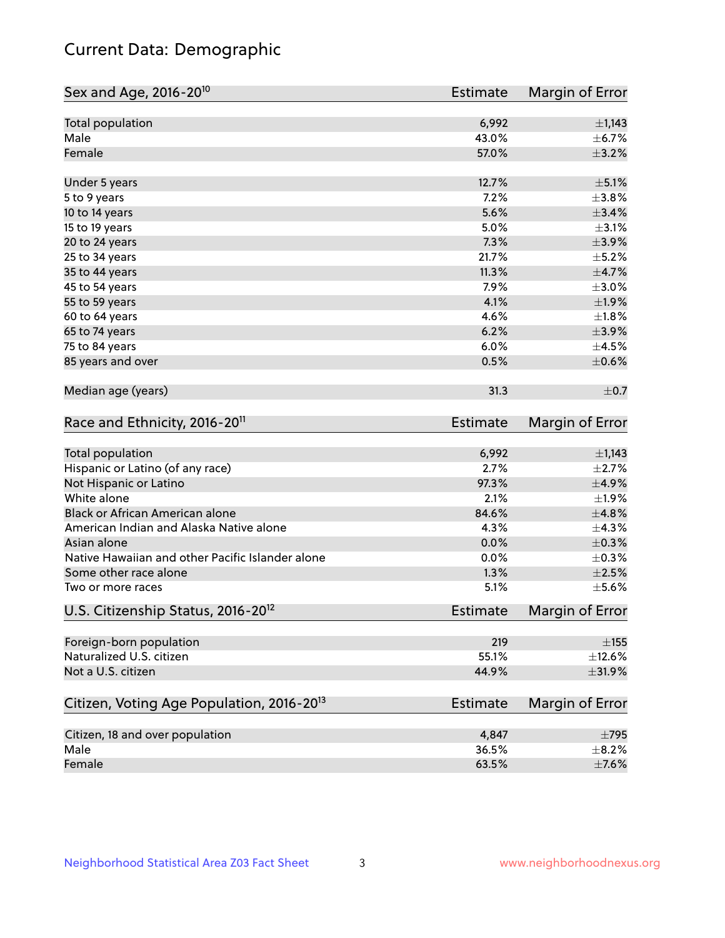# Current Data: Demographic

| Sex and Age, 2016-20 <sup>10</sup>                    | <b>Estimate</b> | Margin of Error |
|-------------------------------------------------------|-----------------|-----------------|
| Total population                                      | 6,992           | $\pm$ 1,143     |
| Male                                                  | 43.0%           | $\pm$ 6.7%      |
| Female                                                | 57.0%           | $\pm$ 3.2%      |
| Under 5 years                                         | 12.7%           | $\pm$ 5.1%      |
| 5 to 9 years                                          | 7.2%            | ±3.8%           |
| 10 to 14 years                                        | 5.6%            | $\pm$ 3.4%      |
| 15 to 19 years                                        | 5.0%            | $\pm$ 3.1%      |
| 20 to 24 years                                        | 7.3%            | $\pm$ 3.9%      |
| 25 to 34 years                                        | 21.7%           | $\pm$ 5.2%      |
| 35 to 44 years                                        | 11.3%           | $\pm$ 4.7%      |
| 45 to 54 years                                        | 7.9%            | $\pm 3.0\%$     |
| 55 to 59 years                                        | 4.1%            | ±1.9%           |
| 60 to 64 years                                        | 4.6%            | ±1.8%           |
| 65 to 74 years                                        | 6.2%            | $\pm$ 3.9%      |
| 75 to 84 years                                        | 6.0%            | $\pm 4.5\%$     |
| 85 years and over                                     | 0.5%            | $\pm$ 0.6%      |
| Median age (years)                                    | 31.3            | $\pm$ 0.7       |
| Race and Ethnicity, 2016-20 <sup>11</sup>             | <b>Estimate</b> | Margin of Error |
| Total population                                      | 6,992           | $\pm$ 1,143     |
| Hispanic or Latino (of any race)                      | 2.7%            | $\pm 2.7\%$     |
| Not Hispanic or Latino                                | 97.3%           | ±4.9%           |
| White alone                                           | 2.1%            | $\pm$ 1.9%      |
| Black or African American alone                       | 84.6%           | ±4.8%           |
| American Indian and Alaska Native alone               | 4.3%            | ±4.3%           |
| Asian alone                                           | 0.0%            | $\pm$ 0.3%      |
| Native Hawaiian and other Pacific Islander alone      | 0.0%            | $\pm$ 0.3%      |
| Some other race alone                                 | 1.3%            | $\pm 2.5\%$     |
| Two or more races                                     | 5.1%            | $\pm$ 5.6%      |
| U.S. Citizenship Status, 2016-20 <sup>12</sup>        | Estimate        | Margin of Error |
| Foreign-born population                               | 219             | $\pm$ 155       |
| Naturalized U.S. citizen                              | 55.1%           | $\pm$ 12.6%     |
| Not a U.S. citizen                                    | 44.9%           | $\pm$ 31.9%     |
| Citizen, Voting Age Population, 2016-20 <sup>13</sup> | <b>Estimate</b> | Margin of Error |
| Citizen, 18 and over population                       | 4,847           | $\pm 795$       |
| Male                                                  | 36.5%           | $\pm$ 8.2%      |
| Female                                                | 63.5%           | $\pm$ 7.6%      |
|                                                       |                 |                 |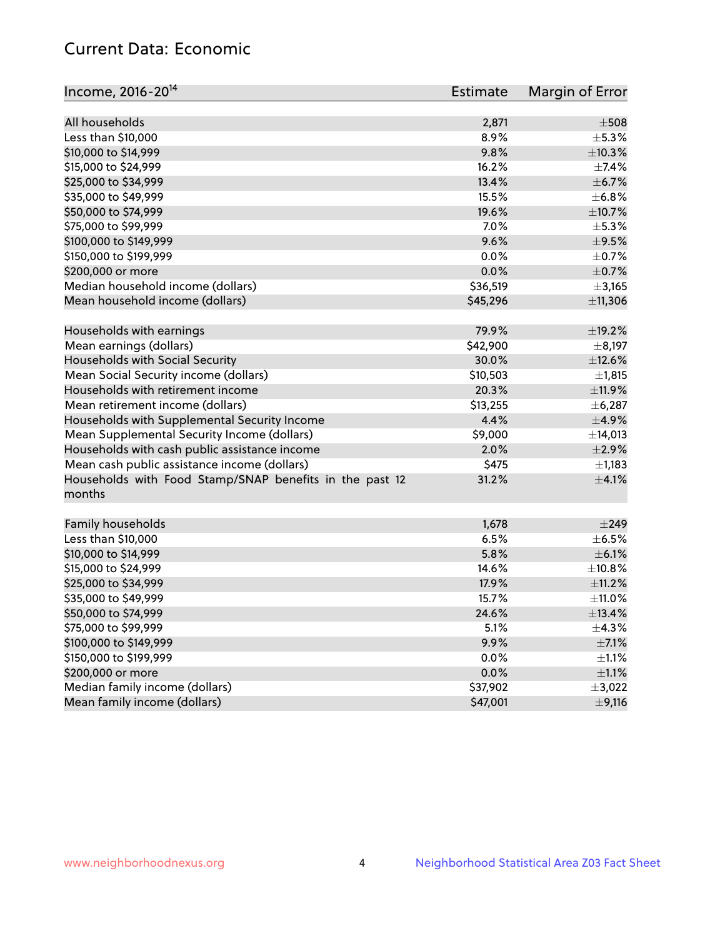# Current Data: Economic

| Income, 2016-20 <sup>14</sup>                           | <b>Estimate</b> | Margin of Error      |
|---------------------------------------------------------|-----------------|----------------------|
| All households                                          |                 | $\pm$ 508            |
|                                                         | 2,871<br>8.9%   |                      |
| Less than \$10,000                                      |                 | $\pm$ 5.3%<br>±10.3% |
| \$10,000 to \$14,999                                    | 9.8%            |                      |
| \$15,000 to \$24,999                                    | 16.2%           | $\pm$ 7.4%           |
| \$25,000 to \$34,999                                    | 13.4%           | $\pm$ 6.7%           |
| \$35,000 to \$49,999                                    | 15.5%           | ±6.8%                |
| \$50,000 to \$74,999                                    | 19.6%           | $\pm$ 10.7%          |
| \$75,000 to \$99,999                                    | 7.0%            | $\pm$ 5.3%           |
| \$100,000 to \$149,999                                  | 9.6%            | $\pm$ 9.5%           |
| \$150,000 to \$199,999                                  | 0.0%            | $\pm$ 0.7%           |
| \$200,000 or more                                       | 0.0%            | $\pm$ 0.7%           |
| Median household income (dollars)                       | \$36,519        | ±3,165               |
| Mean household income (dollars)                         | \$45,296        | ±11,306              |
| Households with earnings                                | 79.9%           | ±19.2%               |
| Mean earnings (dollars)                                 | \$42,900        | $\pm$ 8,197          |
| Households with Social Security                         | 30.0%           | $\pm$ 12.6%          |
| Mean Social Security income (dollars)                   | \$10,503        | ±1,815               |
| Households with retirement income                       | 20.3%           | ±11.9%               |
| Mean retirement income (dollars)                        | \$13,255        | ±6,287               |
| Households with Supplemental Security Income            | 4.4%            | $\pm$ 4.9%           |
| Mean Supplemental Security Income (dollars)             | \$9,000         | ±14,013              |
| Households with cash public assistance income           | 2.0%            | $\pm 2.9\%$          |
| Mean cash public assistance income (dollars)            | \$475           | $\pm$ 1,183          |
| Households with Food Stamp/SNAP benefits in the past 12 | 31.2%           | $\pm$ 4.1%           |
| months                                                  |                 |                      |
| Family households                                       | 1,678           | $\pm$ 249            |
| Less than \$10,000                                      | 6.5%            | $\pm$ 6.5%           |
| \$10,000 to \$14,999                                    | 5.8%            | $\pm$ 6.1%           |
|                                                         | 14.6%           |                      |
| \$15,000 to \$24,999                                    |                 | ±10.8%               |
| \$25,000 to \$34,999                                    | 17.9%           | $\pm$ 11.2%          |
| \$35,000 to \$49,999                                    | 15.7%           | ±11.0%               |
| \$50,000 to \$74,999                                    | 24.6%           | ±13.4%               |
| \$75,000 to \$99,999                                    | 5.1%            | $\pm$ 4.3%           |
| \$100,000 to \$149,999                                  | 9.9%            | $\pm$ 7.1%           |
| \$150,000 to \$199,999                                  | 0.0%            | $\pm 1.1\%$          |
| \$200,000 or more                                       | 0.0%            | $\pm 1.1\%$          |
| Median family income (dollars)                          | \$37,902        | $\pm$ 3,022          |
| Mean family income (dollars)                            | \$47,001        | $\pm$ 9,116          |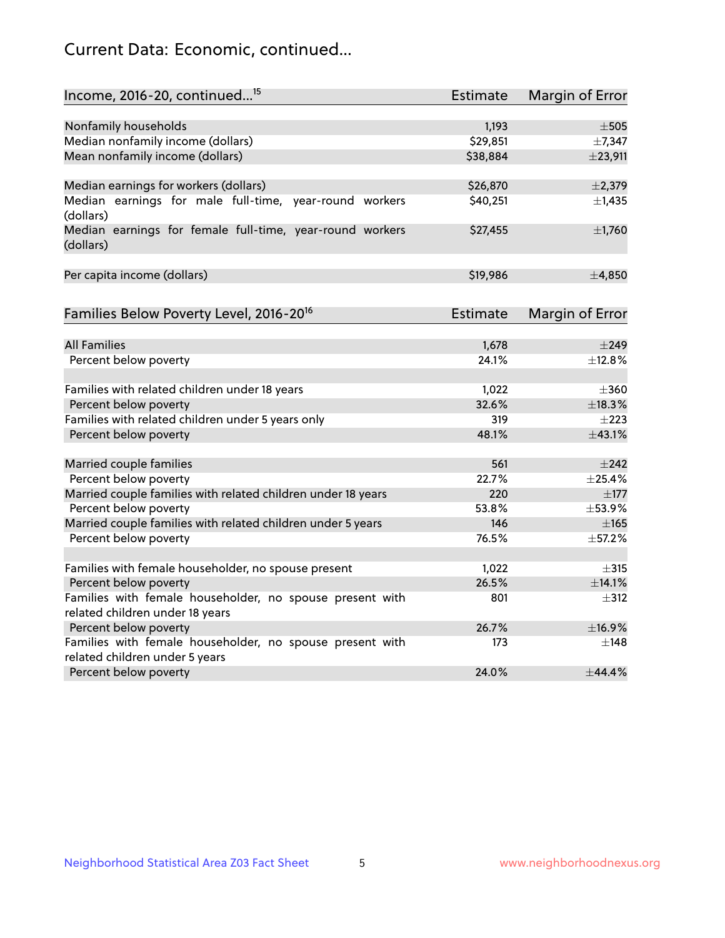# Current Data: Economic, continued...

| Income, 2016-20, continued <sup>15</sup>                              | <b>Estimate</b> | Margin of Error |
|-----------------------------------------------------------------------|-----------------|-----------------|
|                                                                       |                 |                 |
| Nonfamily households                                                  | 1,193           | $\pm$ 505       |
| Median nonfamily income (dollars)                                     | \$29,851        | ±7,347          |
| Mean nonfamily income (dollars)                                       | \$38,884        | ±23,911         |
| Median earnings for workers (dollars)                                 | \$26,870        | $\pm 2,379$     |
| Median earnings for male full-time, year-round workers<br>(dollars)   | \$40,251        | $\pm$ 1,435     |
| Median earnings for female full-time, year-round workers<br>(dollars) | \$27,455        | $\pm$ 1,760     |
| Per capita income (dollars)                                           | \$19,986        | ±4,850          |
| Families Below Poverty Level, 2016-20 <sup>16</sup>                   | Estimate        | Margin of Error |
|                                                                       |                 |                 |
| <b>All Families</b>                                                   | 1,678           | $\pm$ 249       |
| Percent below poverty                                                 | 24.1%           | $+12.8%$        |
| Families with related children under 18 years                         | 1,022           | $\pm 360$       |
| Percent below poverty                                                 | 32.6%           | ±18.3%          |
| Families with related children under 5 years only                     | 319             | $\pm 223$       |
| Percent below poverty                                                 | 48.1%           | ±43.1%          |
| Married couple families                                               | 561             | $\pm 242$       |
| Percent below poverty                                                 | 22.7%           | ±25.4%          |
| Married couple families with related children under 18 years          | 220             | $\pm$ 177       |
| Percent below poverty                                                 | 53.8%           | ±53.9%          |
| Married couple families with related children under 5 years           | 146             | $\pm 165$       |
| Percent below poverty                                                 | 76.5%           | ±57.2%          |
| Families with female householder, no spouse present                   | 1,022           | $\pm$ 315       |
| Percent below poverty                                                 | 26.5%           | ±14.1%          |
| Families with female householder, no spouse present with              | 801             | $\pm$ 312       |
| related children under 18 years                                       |                 |                 |
| Percent below poverty                                                 | 26.7%           | ±16.9%          |
| Families with female householder, no spouse present with              | 173             | $\pm$ 148       |
| related children under 5 years                                        |                 |                 |
| Percent below poverty                                                 | 24.0%           | ±44.4%          |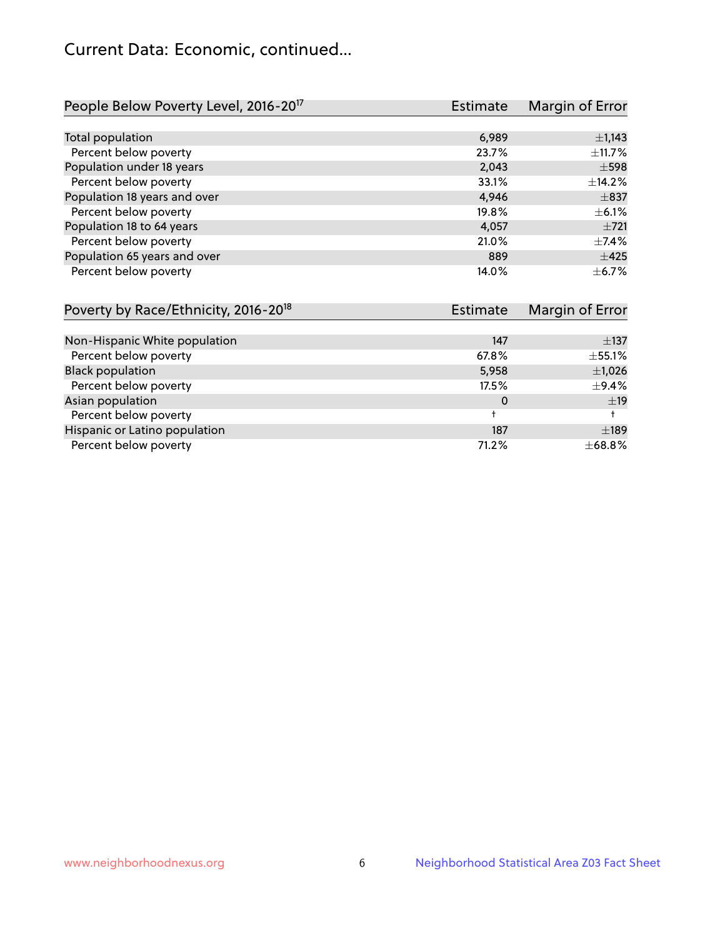# Current Data: Economic, continued...

| People Below Poverty Level, 2016-20 <sup>17</sup> | <b>Estimate</b> | Margin of Error |
|---------------------------------------------------|-----------------|-----------------|
|                                                   |                 |                 |
| Total population                                  | 6,989           | $\pm$ 1,143     |
| Percent below poverty                             | 23.7%           | ±11.7%          |
| Population under 18 years                         | 2,043           | $\pm$ 598       |
| Percent below poverty                             | 33.1%           | ±14.2%          |
| Population 18 years and over                      | 4,946           | $\pm$ 837       |
| Percent below poverty                             | 19.8%           | $\pm$ 6.1%      |
| Population 18 to 64 years                         | 4,057           | $+721$          |
| Percent below poverty                             | 21.0%           | $\pm$ 7.4%      |
| Population 65 years and over                      | 889             | $\pm 425$       |
| Percent below poverty                             | 14.0%           | $\pm$ 6.7%      |

| Poverty by Race/Ethnicity, 2016-20 <sup>18</sup> | Estimate    |             |
|--------------------------------------------------|-------------|-------------|
|                                                  |             |             |
| Non-Hispanic White population                    | 147         | $\pm$ 137   |
| Percent below poverty                            | 67.8%       | ±55.1%      |
| <b>Black population</b>                          | 5,958       | $\pm$ 1,026 |
| Percent below poverty                            | 17.5%       | $\pm$ 9.4%  |
| Asian population                                 | 0           | ±19         |
| Percent below poverty                            | $\ddotmark$ |             |
| Hispanic or Latino population                    | 187         | ±189        |
| Percent below poverty                            | 71.2%       | ±68.8%      |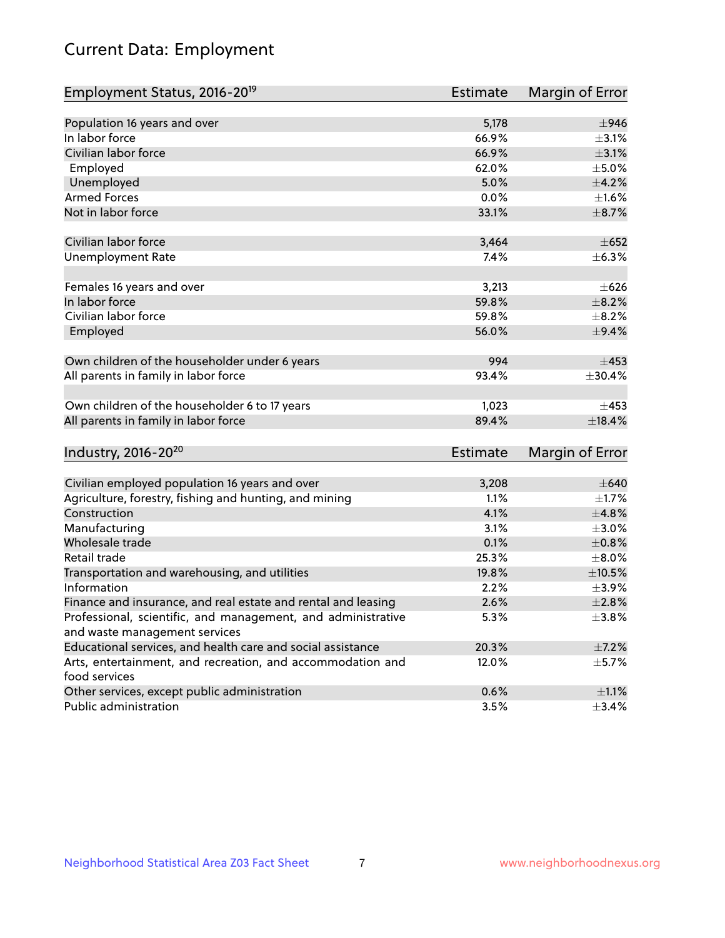# Current Data: Employment

| Employment Status, 2016-20 <sup>19</sup>                      | <b>Estimate</b> | Margin of Error |
|---------------------------------------------------------------|-----------------|-----------------|
|                                                               |                 |                 |
| Population 16 years and over                                  | 5,178           | $\pm$ 946       |
| In labor force                                                | 66.9%           | $\pm$ 3.1%      |
| Civilian labor force                                          | 66.9%           | $\pm 3.1\%$     |
| Employed                                                      | 62.0%           | $\pm$ 5.0%      |
| Unemployed                                                    | 5.0%            | $\pm$ 4.2%      |
| <b>Armed Forces</b>                                           | 0.0%            | $\pm1.6\%$      |
| Not in labor force                                            | 33.1%           | $\pm$ 8.7%      |
|                                                               |                 |                 |
| Civilian labor force                                          | 3,464           | $\pm 652$       |
| <b>Unemployment Rate</b>                                      | 7.4%            | $\pm$ 6.3%      |
|                                                               |                 |                 |
| Females 16 years and over                                     | 3,213           | $\pm 626$       |
| In labor force                                                | 59.8%           | $\pm$ 8.2%      |
| Civilian labor force                                          | 59.8%           | $\pm$ 8.2%      |
| Employed                                                      | 56.0%           | $\pm$ 9.4%      |
|                                                               |                 |                 |
| Own children of the householder under 6 years                 | 994             | $\pm$ 453       |
| All parents in family in labor force                          | 93.4%           | ±30.4%          |
|                                                               |                 |                 |
| Own children of the householder 6 to 17 years                 | 1,023           | $\pm$ 453       |
| All parents in family in labor force                          | 89.4%           | ±18.4%          |
|                                                               |                 |                 |
| Industry, 2016-20 <sup>20</sup>                               | <b>Estimate</b> | Margin of Error |
|                                                               |                 |                 |
| Civilian employed population 16 years and over                | 3,208           | $\pm 640$       |
| Agriculture, forestry, fishing and hunting, and mining        | 1.1%            | $\pm 1.7\%$     |
| Construction                                                  | 4.1%            | ±4.8%           |
| Manufacturing                                                 | 3.1%            | $\pm 3.0\%$     |
| Wholesale trade                                               | 0.1%            | $\pm 0.8\%$     |
| Retail trade                                                  | 25.3%           | $\pm$ 8.0%      |
| Transportation and warehousing, and utilities                 | 19.8%           | $\pm 10.5\%$    |
| Information                                                   | 2.2%            | $\pm$ 3.9%      |
| Finance and insurance, and real estate and rental and leasing | 2.6%            | $\pm 2.8\%$     |
| Professional, scientific, and management, and administrative  | 5.3%            | ±3.8%           |
| and waste management services                                 |                 |                 |
| Educational services, and health care and social assistance   | 20.3%           | $\pm$ 7.2%      |
| Arts, entertainment, and recreation, and accommodation and    | 12.0%           | $\pm$ 5.7%      |
| food services                                                 |                 |                 |
| Other services, except public administration                  | 0.6%            | $\pm 1.1\%$     |
| Public administration                                         | 3.5%            | ±3.4%           |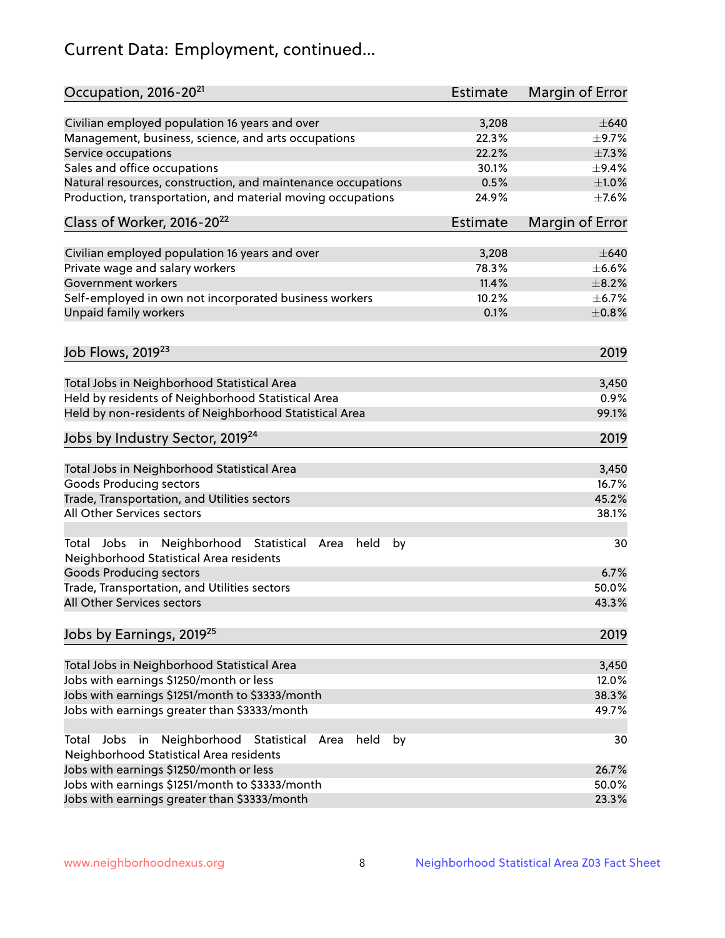# Current Data: Employment, continued...

| Occupation, 2016-20 <sup>21</sup>                                                                                | <b>Estimate</b> | Margin of Error |
|------------------------------------------------------------------------------------------------------------------|-----------------|-----------------|
| Civilian employed population 16 years and over                                                                   | 3,208           | $\pm 640$       |
| Management, business, science, and arts occupations                                                              | 22.3%           | $\pm$ 9.7%      |
| Service occupations                                                                                              | 22.2%           | $\pm$ 7.3%      |
| Sales and office occupations                                                                                     | 30.1%           | $\pm$ 9.4%      |
| Natural resources, construction, and maintenance occupations                                                     | 0.5%            | $\pm1.0\%$      |
| Production, transportation, and material moving occupations                                                      | 24.9%           | $\pm$ 7.6%      |
| Class of Worker, 2016-20 <sup>22</sup>                                                                           | <b>Estimate</b> | Margin of Error |
| Civilian employed population 16 years and over                                                                   | 3,208           | $\pm 640$       |
| Private wage and salary workers                                                                                  | 78.3%           | $\pm$ 6.6%      |
| Government workers                                                                                               | 11.4%           | $\pm$ 8.2%      |
| Self-employed in own not incorporated business workers                                                           | 10.2%           | $\pm$ 6.7%      |
| Unpaid family workers                                                                                            | 0.1%            | $\pm 0.8\%$     |
| Job Flows, 2019 <sup>23</sup>                                                                                    |                 | 2019            |
|                                                                                                                  |                 |                 |
| Total Jobs in Neighborhood Statistical Area                                                                      |                 | 3,450           |
| Held by residents of Neighborhood Statistical Area                                                               |                 | 0.9%            |
| Held by non-residents of Neighborhood Statistical Area                                                           |                 | 99.1%           |
| Jobs by Industry Sector, 2019 <sup>24</sup>                                                                      |                 | 2019            |
| Total Jobs in Neighborhood Statistical Area                                                                      |                 | 3,450           |
| <b>Goods Producing sectors</b>                                                                                   |                 | 16.7%           |
| Trade, Transportation, and Utilities sectors                                                                     |                 | 45.2%           |
| All Other Services sectors                                                                                       |                 | 38.1%           |
| Total Jobs in Neighborhood Statistical<br>held<br>by<br>Area<br>Neighborhood Statistical Area residents          |                 | 30              |
| <b>Goods Producing sectors</b>                                                                                   |                 | 6.7%            |
| Trade, Transportation, and Utilities sectors                                                                     |                 | 50.0%           |
| All Other Services sectors                                                                                       |                 | 43.3%           |
| Jobs by Earnings, 2019 <sup>25</sup>                                                                             |                 | 2019            |
| Total Jobs in Neighborhood Statistical Area                                                                      |                 | 3,450           |
| Jobs with earnings \$1250/month or less                                                                          |                 | 12.0%           |
| Jobs with earnings \$1251/month to \$3333/month                                                                  |                 | 38.3%           |
| Jobs with earnings greater than \$3333/month                                                                     |                 | 49.7%           |
| Neighborhood Statistical<br>Jobs<br>in<br>held<br>by<br>Total<br>Area<br>Neighborhood Statistical Area residents |                 | 30              |
| Jobs with earnings \$1250/month or less                                                                          |                 | 26.7%           |
| Jobs with earnings \$1251/month to \$3333/month                                                                  |                 | 50.0%           |
| Jobs with earnings greater than \$3333/month                                                                     |                 | 23.3%           |
|                                                                                                                  |                 |                 |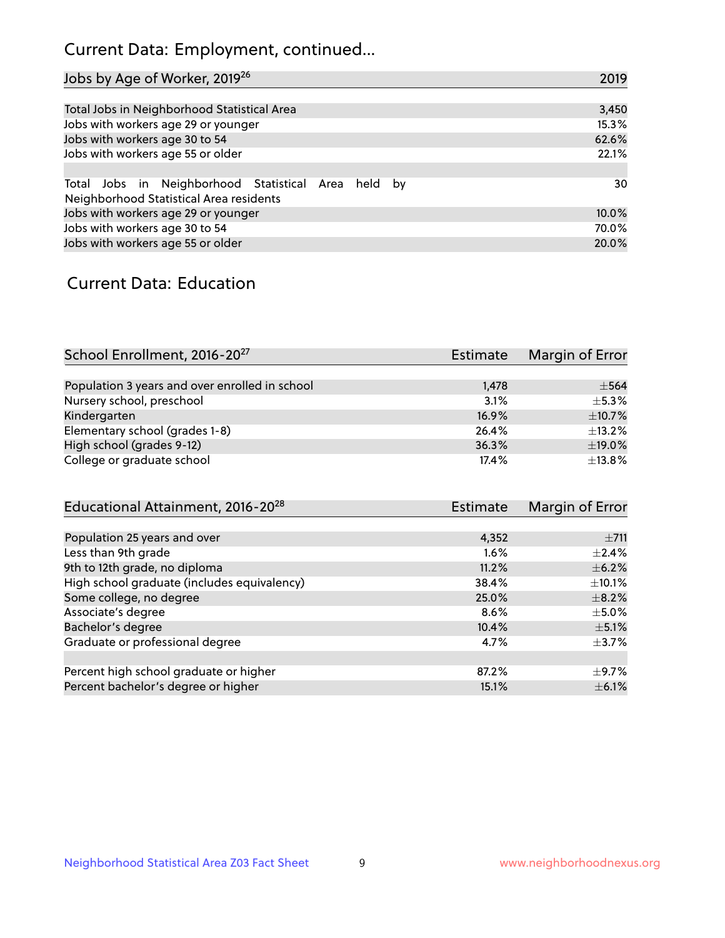# Current Data: Employment, continued...

| Jobs by Age of Worker, 2019 <sup>26</sup>                                                      | 2019  |
|------------------------------------------------------------------------------------------------|-------|
|                                                                                                |       |
| Total Jobs in Neighborhood Statistical Area                                                    | 3,450 |
| Jobs with workers age 29 or younger                                                            | 15.3% |
| Jobs with workers age 30 to 54                                                                 | 62.6% |
| Jobs with workers age 55 or older                                                              | 22.1% |
|                                                                                                |       |
| Total Jobs in Neighborhood Statistical Area held by<br>Neighborhood Statistical Area residents | 30    |
| Jobs with workers age 29 or younger                                                            | 10.0% |
| Jobs with workers age 30 to 54                                                                 | 70.0% |
| Jobs with workers age 55 or older                                                              | 20.0% |

### Current Data: Education

| School Enrollment, 2016-20 <sup>27</sup>       | Estimate | Margin of Error |
|------------------------------------------------|----------|-----------------|
|                                                |          |                 |
| Population 3 years and over enrolled in school | 1,478    | $\pm$ 564       |
| Nursery school, preschool                      | 3.1%     | $+5.3%$         |
| Kindergarten                                   | 16.9%    | $\pm$ 10.7%     |
| Elementary school (grades 1-8)                 | 26.4%    | $\pm$ 13.2%     |
| High school (grades 9-12)                      | 36.3%    | $\pm$ 19.0%     |
| College or graduate school                     | 17.4%    | $\pm$ 13.8%     |

| Educational Attainment, 2016-20 <sup>28</sup> | <b>Estimate</b> | Margin of Error |
|-----------------------------------------------|-----------------|-----------------|
|                                               |                 |                 |
| Population 25 years and over                  | 4,352           | $\pm 711$       |
| Less than 9th grade                           | 1.6%            | $\pm 2.4\%$     |
| 9th to 12th grade, no diploma                 | 11.2%           | $\pm$ 6.2%      |
| High school graduate (includes equivalency)   | 38.4%           | $\pm$ 10.1%     |
| Some college, no degree                       | 25.0%           | $\pm$ 8.2%      |
| Associate's degree                            | 8.6%            | $\pm$ 5.0%      |
| Bachelor's degree                             | 10.4%           | $\pm$ 5.1%      |
| Graduate or professional degree               | 4.7%            | $\pm$ 3.7%      |
|                                               |                 |                 |
| Percent high school graduate or higher        | 87.2%           | $\pm$ 9.7%      |
| Percent bachelor's degree or higher           | 15.1%           | $\pm$ 6.1%      |
|                                               |                 |                 |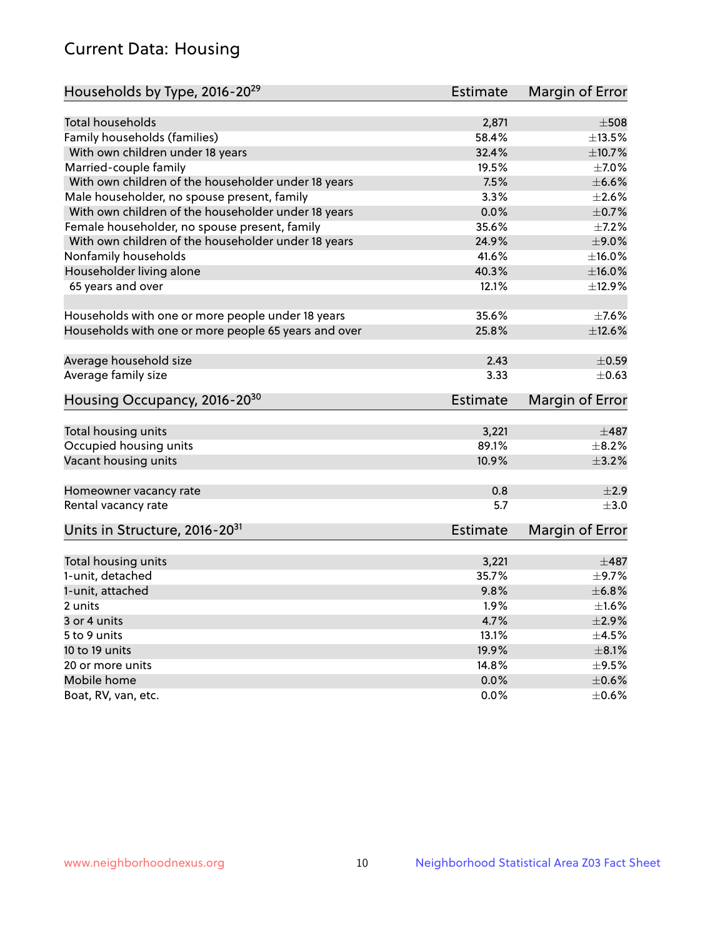# Current Data: Housing

| Households by Type, 2016-20 <sup>29</sup>            | <b>Estimate</b> | Margin of Error |
|------------------------------------------------------|-----------------|-----------------|
|                                                      |                 |                 |
| <b>Total households</b>                              | 2,871           | $\pm 508$       |
| Family households (families)                         | 58.4%           | $\pm$ 13.5%     |
| With own children under 18 years                     | 32.4%           | ±10.7%          |
| Married-couple family                                | 19.5%           | $\pm$ 7.0%      |
| With own children of the householder under 18 years  | 7.5%            | $\pm$ 6.6%      |
| Male householder, no spouse present, family          | 3.3%            | $\pm 2.6\%$     |
| With own children of the householder under 18 years  | 0.0%            | $\pm$ 0.7%      |
| Female householder, no spouse present, family        | 35.6%           | $\pm$ 7.2%      |
| With own children of the householder under 18 years  | 24.9%           | $\pm$ 9.0%      |
| Nonfamily households                                 | 41.6%           | $\pm$ 16.0%     |
| Householder living alone                             | 40.3%           | $\pm$ 16.0%     |
| 65 years and over                                    | 12.1%           | ±12.9%          |
|                                                      |                 |                 |
| Households with one or more people under 18 years    | 35.6%           | $\pm$ 7.6%      |
| Households with one or more people 65 years and over | 25.8%           | ±12.6%          |
|                                                      |                 |                 |
| Average household size                               | 2.43            | $\pm$ 0.59      |
| Average family size                                  | 3.33            | $\pm$ 0.63      |
| Housing Occupancy, 2016-20 <sup>30</sup>             | <b>Estimate</b> | Margin of Error |
| Total housing units                                  | 3,221           | $\pm$ 487       |
| Occupied housing units                               | 89.1%           | $\pm$ 8.2%      |
| Vacant housing units                                 | 10.9%           | $\pm$ 3.2%      |
|                                                      |                 |                 |
| Homeowner vacancy rate                               | 0.8             | ±2.9            |
| Rental vacancy rate                                  | 5.7             | $\pm$ 3.0       |
| Units in Structure, 2016-20 <sup>31</sup>            | <b>Estimate</b> | Margin of Error |
|                                                      |                 |                 |
| Total housing units                                  | 3,221           | $\pm$ 487       |
| 1-unit, detached                                     | 35.7%           | $\pm$ 9.7%      |
| 1-unit, attached                                     | 9.8%            | ±6.8%           |
| 2 units                                              | 1.9%            | $\pm 1.6\%$     |
| 3 or 4 units                                         | 4.7%            | $\pm 2.9\%$     |
| 5 to 9 units                                         | 13.1%           | $\pm 4.5\%$     |
| 10 to 19 units                                       | 19.9%           | $\pm$ 8.1%      |
| 20 or more units                                     | 14.8%           | $\pm$ 9.5%      |
| Mobile home                                          | 0.0%            | $\pm$ 0.6%      |
| Boat, RV, van, etc.                                  | 0.0%            | $\pm$ 0.6%      |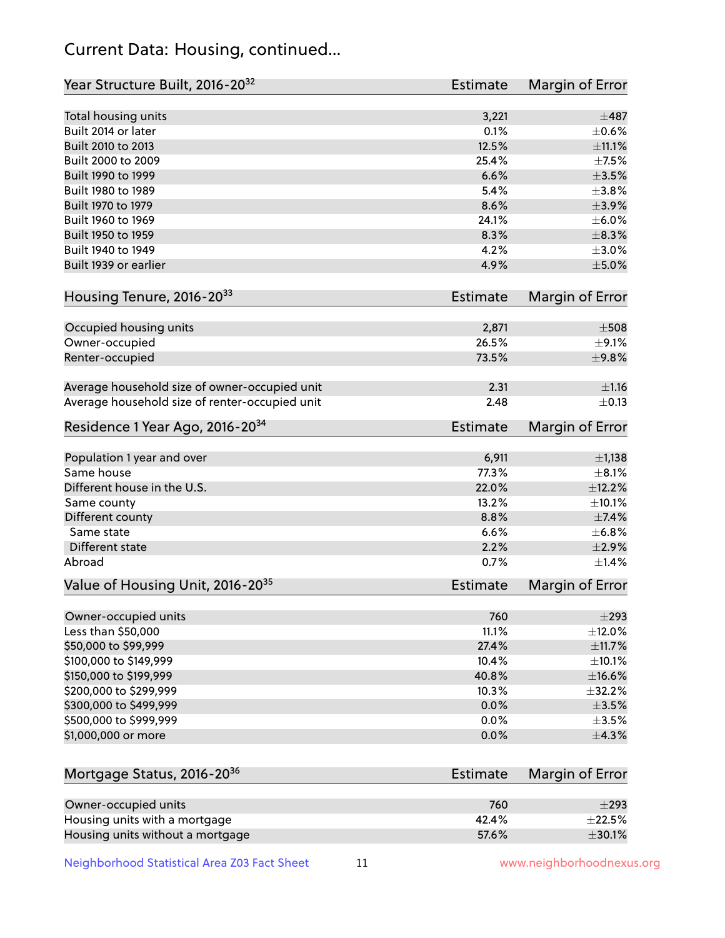# Current Data: Housing, continued...

| Year Structure Built, 2016-20 <sup>32</sup>    | <b>Estimate</b> | Margin of Error      |
|------------------------------------------------|-----------------|----------------------|
| Total housing units                            | 3,221           | $\pm$ 487            |
| Built 2014 or later                            | 0.1%            | $\pm$ 0.6%           |
| Built 2010 to 2013                             | 12.5%           | $\pm$ 11.1%          |
| Built 2000 to 2009                             | 25.4%           | $\pm$ 7.5%           |
| Built 1990 to 1999                             | 6.6%            | $\pm 3.5\%$          |
| Built 1980 to 1989                             | 5.4%            | $\pm 3.8\%$          |
| Built 1970 to 1979                             | 8.6%            | $\pm$ 3.9%           |
| Built 1960 to 1969                             | 24.1%           | $\pm$ 6.0%           |
| Built 1950 to 1959                             | 8.3%            | $\pm$ 8.3%           |
| Built 1940 to 1949                             | 4.2%            | $\pm 3.0\%$          |
| Built 1939 or earlier                          | 4.9%            | $\pm$ 5.0%           |
| Housing Tenure, 2016-2033                      | <b>Estimate</b> | Margin of Error      |
| Occupied housing units                         | 2,871           | $\pm 508$            |
|                                                | 26.5%           | $\pm$ 9.1%           |
| Owner-occupied                                 | 73.5%           | ±9.8%                |
| Renter-occupied                                |                 |                      |
| Average household size of owner-occupied unit  | 2.31            | $\pm 1.16$           |
| Average household size of renter-occupied unit | 2.48            | $\pm$ 0.13           |
| Residence 1 Year Ago, 2016-20 <sup>34</sup>    | Estimate        | Margin of Error      |
|                                                |                 |                      |
| Population 1 year and over<br>Same house       | 6,911<br>77.3%  | $\pm$ 1,138          |
| Different house in the U.S.                    | 22.0%           | $\pm$ 8.1%<br>±12.2% |
|                                                | 13.2%           | ±10.1%               |
| Same county                                    | 8.8%            | $\pm$ 7.4%           |
| Different county<br>Same state                 | 6.6%            | ±6.8%                |
| Different state                                | 2.2%            | $\pm 2.9\%$          |
| Abroad                                         | 0.7%            | $\pm$ 1.4%           |
|                                                |                 |                      |
| Value of Housing Unit, 2016-20 <sup>35</sup>   | <b>Estimate</b> | Margin of Error      |
| Owner-occupied units                           | 760             | $\pm$ 293            |
| Less than \$50,000                             | 11.1%           | $\pm$ 12.0%          |
| \$50,000 to \$99,999                           | 27.4%           | ±11.7%               |
| \$100,000 to \$149,999                         | 10.4%           | $\pm$ 10.1%          |
| \$150,000 to \$199,999                         | 40.8%           | $\pm$ 16.6%          |
| \$200,000 to \$299,999                         | 10.3%           | $\pm$ 32.2%          |
| \$300,000 to \$499,999                         | 0.0%            | $\pm$ 3.5%           |
| \$500,000 to \$999,999                         | 0.0%            | $\pm$ 3.5%           |
| \$1,000,000 or more                            | 0.0%            | $\pm$ 4.3%           |
| Mortgage Status, 2016-20 <sup>36</sup>         | Estimate        | Margin of Error      |
|                                                |                 |                      |
| Owner-occupied units                           | 760             | $\pm 293$            |
| Housing units with a mortgage                  | 42.4%           | $\pm 22.5\%$         |
| Housing units without a mortgage               | 57.6%           | $\pm$ 30.1%          |

Neighborhood Statistical Area Z03 Fact Sheet 11 11 www.neighborhoodnexus.org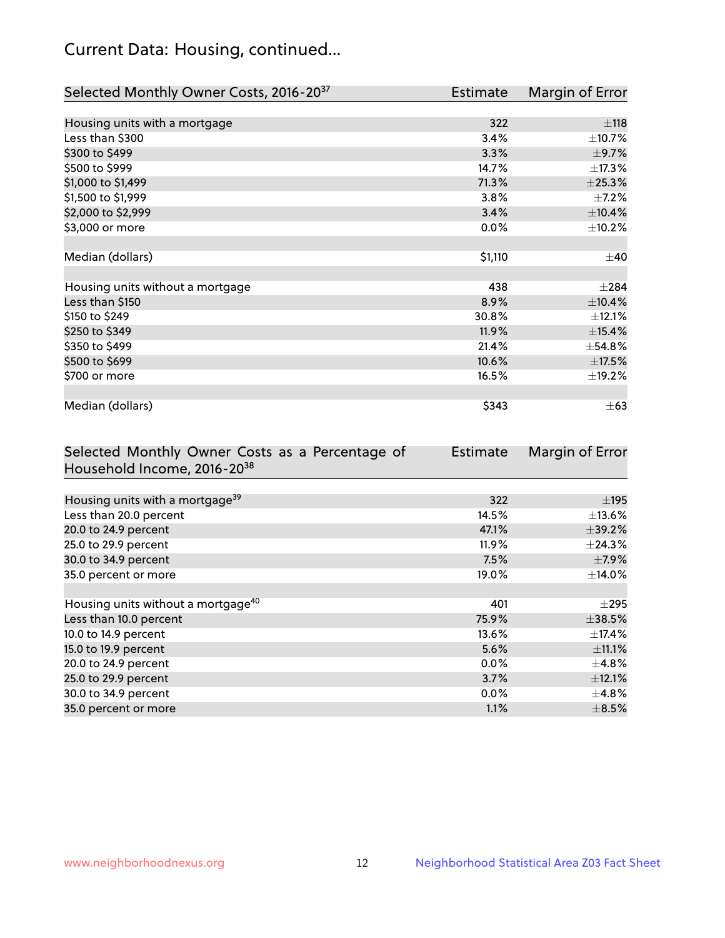# Current Data: Housing, continued...

| Selected Monthly Owner Costs, 2016-20 <sup>37</sup> | <b>Estimate</b> | Margin of Error |
|-----------------------------------------------------|-----------------|-----------------|
|                                                     |                 |                 |
| Housing units with a mortgage                       | 322             | ±118            |
| Less than \$300                                     | 3.4%            | ±10.7%          |
| \$300 to \$499                                      | 3.3%            | $\pm$ 9.7%      |
| \$500 to \$999                                      | 14.7%           | ±17.3%          |
| \$1,000 to \$1,499                                  | 71.3%           | ±25.3%          |
| \$1,500 to \$1,999                                  | 3.8%            | $\pm$ 7.2%      |
| \$2,000 to \$2,999                                  | 3.4%            | $\pm$ 10.4%     |
| \$3,000 or more                                     | 0.0%            | ±10.2%          |
|                                                     |                 |                 |
| Median (dollars)                                    | \$1,110         | $\pm 40$        |
|                                                     |                 |                 |
| Housing units without a mortgage                    | 438             | $\pm 284$       |
| Less than \$150                                     | 8.9%            | ±10.4%          |
| \$150 to \$249                                      | 30.8%           | ±12.1%          |
| \$250 to \$349                                      | 11.9%           | $\pm$ 15.4%     |
| \$350 to \$499                                      | 21.4%           | ±54.8%          |
| \$500 to \$699                                      | 10.6%           | $\pm$ 17.5%     |
| \$700 or more                                       | 16.5%           | ±19.2%          |
|                                                     |                 |                 |
| Median (dollars)                                    | \$343           | $\pm 63$        |

| Selected Monthly Owner Costs as a Percentage of | <b>Estimate</b> | Margin of Error |
|-------------------------------------------------|-----------------|-----------------|
| Household Income, 2016-20 <sup>38</sup>         |                 |                 |
|                                                 |                 |                 |
| Housing units with a mortgage <sup>39</sup>     | 322             | $\pm$ 195       |
| Less than 20.0 percent                          | 14.5%           | $\pm$ 13.6%     |
| 20.0 to 24.9 percent                            | 47.1%           | $\pm$ 39.2%     |
| 25.0 to 29.9 percent                            | 11.9%           | $\pm$ 24.3%     |
| 30.0 to 34.9 percent                            | 7.5%            | $\pm$ 7.9%      |
| 35.0 percent or more                            | 19.0%           | $\pm$ 14.0%     |
|                                                 |                 |                 |
| Housing units without a mortgage <sup>40</sup>  | 401             | $\pm 295$       |
| Less than 10.0 percent                          | 75.9%           | $\pm$ 38.5%     |
| 10.0 to 14.9 percent                            | 13.6%           | $\pm$ 17.4%     |
| 15.0 to 19.9 percent                            | 5.6%            | $\pm$ 11.1%     |
| 20.0 to 24.9 percent                            | $0.0\%$         | $\pm$ 4.8%      |
| 25.0 to 29.9 percent                            | 3.7%            | ±12.1%          |
| 30.0 to 34.9 percent                            | $0.0\%$         | $\pm$ 4.8%      |
| 35.0 percent or more                            | 1.1%            | $\pm$ 8.5%      |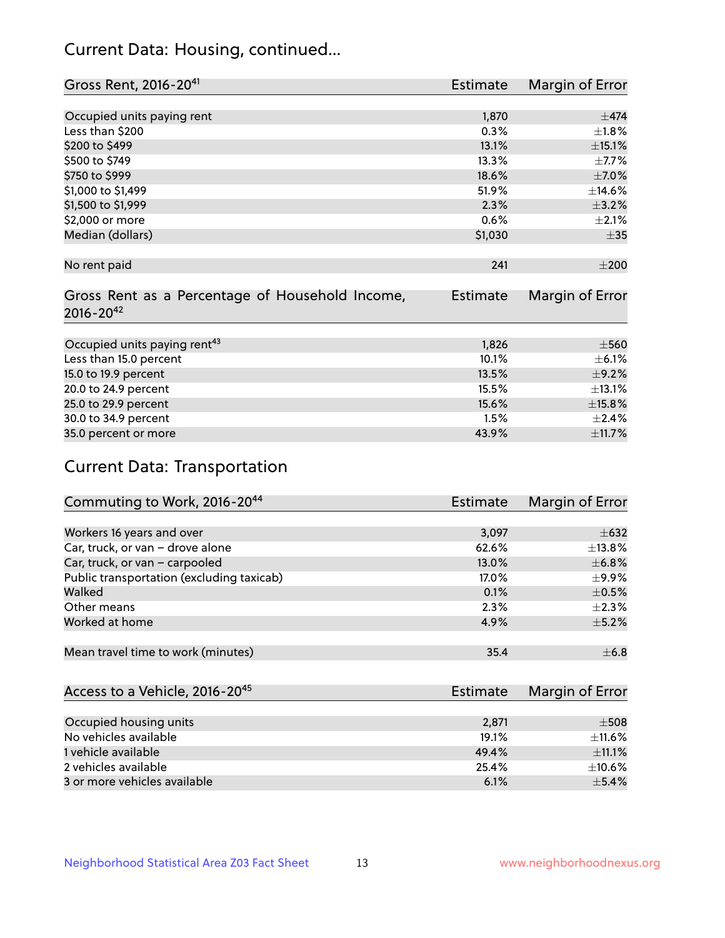# Current Data: Housing, continued...

| Gross Rent, 2016-20 <sup>41</sup>               | <b>Estimate</b> | Margin of Error |
|-------------------------------------------------|-----------------|-----------------|
|                                                 |                 |                 |
| Occupied units paying rent                      | 1,870           | $\pm$ 474       |
| Less than \$200                                 | 0.3%            | $\pm1.8\%$      |
| \$200 to \$499                                  | 13.1%           | ±15.1%          |
| \$500 to \$749                                  | 13.3%           | $\pm$ 7.7%      |
| \$750 to \$999                                  | 18.6%           | $\pm$ 7.0%      |
| \$1,000 to \$1,499                              | 51.9%           | ±14.6%          |
| \$1,500 to \$1,999                              | 2.3%            | $\pm$ 3.2%      |
| \$2,000 or more                                 | 0.6%            | $\pm 2.1\%$     |
| Median (dollars)                                | \$1,030         | $\pm$ 35        |
|                                                 |                 |                 |
| No rent paid                                    | 241             | $\pm 200$       |
|                                                 |                 |                 |
| Gross Rent as a Percentage of Household Income, | <b>Estimate</b> | Margin of Error |
| $2016 - 20^{42}$                                |                 |                 |
|                                                 |                 |                 |
| Occupied units paying rent <sup>43</sup>        | 1,826           | $\pm$ 560       |
| Less than 15.0 percent                          | 10.1%           | $\pm$ 6.1%      |
| 15.0 to 19.9 percent                            | 13.5%           | $\pm$ 9.2%      |
| 20.0 to 24.9 percent                            | 15.5%           | ±13.1%          |
| 25.0 to 29.9 percent                            | 15.6%           | ±15.8%          |
| 30.0 to 34.9 percent                            | 1.5%            | $\pm$ 2.4%      |
| 35.0 percent or more                            | 43.9%           | ±11.7%          |

# Current Data: Transportation

| Commuting to Work, 2016-20 <sup>44</sup>  | <b>Estimate</b> | Margin of Error |
|-------------------------------------------|-----------------|-----------------|
|                                           |                 |                 |
| Workers 16 years and over                 | 3,097           | $\pm 632$       |
| Car, truck, or van - drove alone          | 62.6%           | $\pm$ 13.8%     |
| Car, truck, or van - carpooled            | 13.0%           | $\pm$ 6.8%      |
| Public transportation (excluding taxicab) | 17.0%           | $\pm$ 9.9%      |
| Walked                                    | 0.1%            | $\pm$ 0.5%      |
| Other means                               | 2.3%            | $\pm 2.3\%$     |
| Worked at home                            | 4.9%            | $\pm$ 5.2%      |
|                                           |                 |                 |
| Mean travel time to work (minutes)        | 35.4            | $\pm$ 6.8       |

| Access to a Vehicle, 2016-20 <sup>45</sup> | Estimate | Margin of Error |
|--------------------------------------------|----------|-----------------|
|                                            |          |                 |
| Occupied housing units                     | 2,871    | $\pm$ 508       |
| No vehicles available                      | 19.1%    | $\pm$ 11.6%     |
| 1 vehicle available                        | 49.4%    | $+11.1%$        |
| 2 vehicles available                       | 25.4%    | $\pm$ 10.6%     |
| 3 or more vehicles available               | 6.1%     | $+5.4%$         |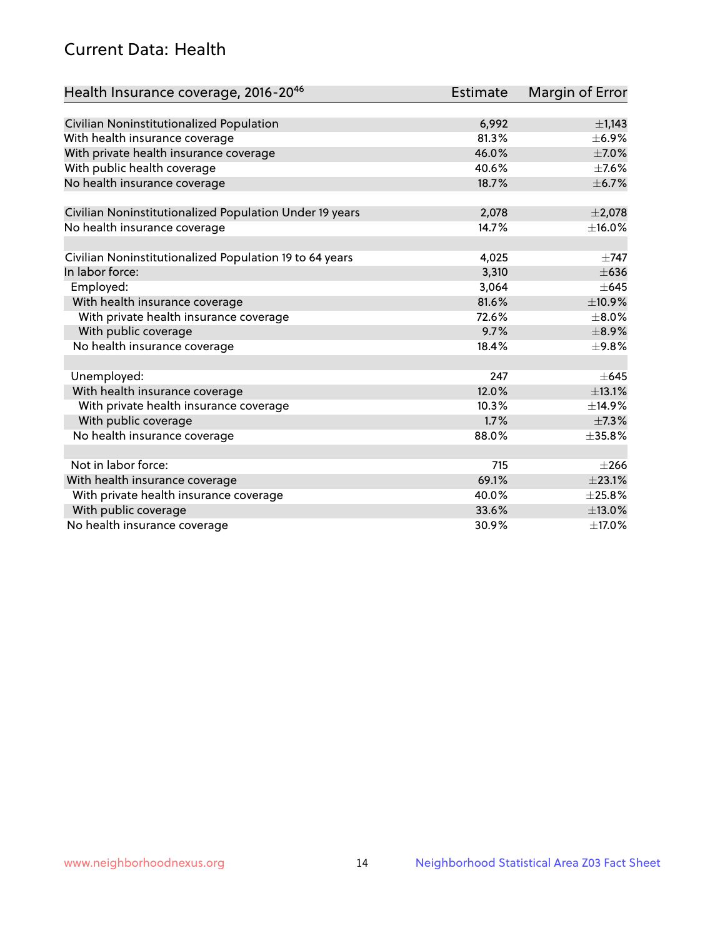# Current Data: Health

| Health Insurance coverage, 2016-2046                    | <b>Estimate</b> | Margin of Error |
|---------------------------------------------------------|-----------------|-----------------|
|                                                         |                 |                 |
| Civilian Noninstitutionalized Population                | 6,992           | $\pm$ 1,143     |
| With health insurance coverage                          | 81.3%           | $\pm$ 6.9%      |
| With private health insurance coverage                  | 46.0%           | $\pm$ 7.0%      |
| With public health coverage                             | 40.6%           | $\pm$ 7.6%      |
| No health insurance coverage                            | 18.7%           | $\pm$ 6.7%      |
| Civilian Noninstitutionalized Population Under 19 years | 2,078           | $\pm 2,078$     |
| No health insurance coverage                            | 14.7%           | ±16.0%          |
|                                                         |                 |                 |
| Civilian Noninstitutionalized Population 19 to 64 years | 4,025           | $\pm 747$       |
| In labor force:                                         | 3,310           | $\pm 636$       |
| Employed:                                               | 3,064           | $\pm 645$       |
| With health insurance coverage                          | 81.6%           | ±10.9%          |
| With private health insurance coverage                  | 72.6%           | $\pm$ 8.0%      |
| With public coverage                                    | 9.7%            | $\pm$ 8.9%      |
| No health insurance coverage                            | 18.4%           | ±9.8%           |
|                                                         |                 |                 |
| Unemployed:                                             | 247             | $\pm 645$       |
| With health insurance coverage                          | 12.0%           | ±13.1%          |
| With private health insurance coverage                  | 10.3%           | ±14.9%          |
| With public coverage                                    | 1.7%            | $\pm$ 7.3%      |
| No health insurance coverage                            | 88.0%           | $\pm$ 35.8%     |
|                                                         |                 |                 |
| Not in labor force:                                     | 715             | $\pm 266$       |
| With health insurance coverage                          | 69.1%           | $\pm 23.1\%$    |
| With private health insurance coverage                  | 40.0%           | ±25.8%          |
| With public coverage                                    | 33.6%           | ±13.0%          |
| No health insurance coverage                            | 30.9%           | ±17.0%          |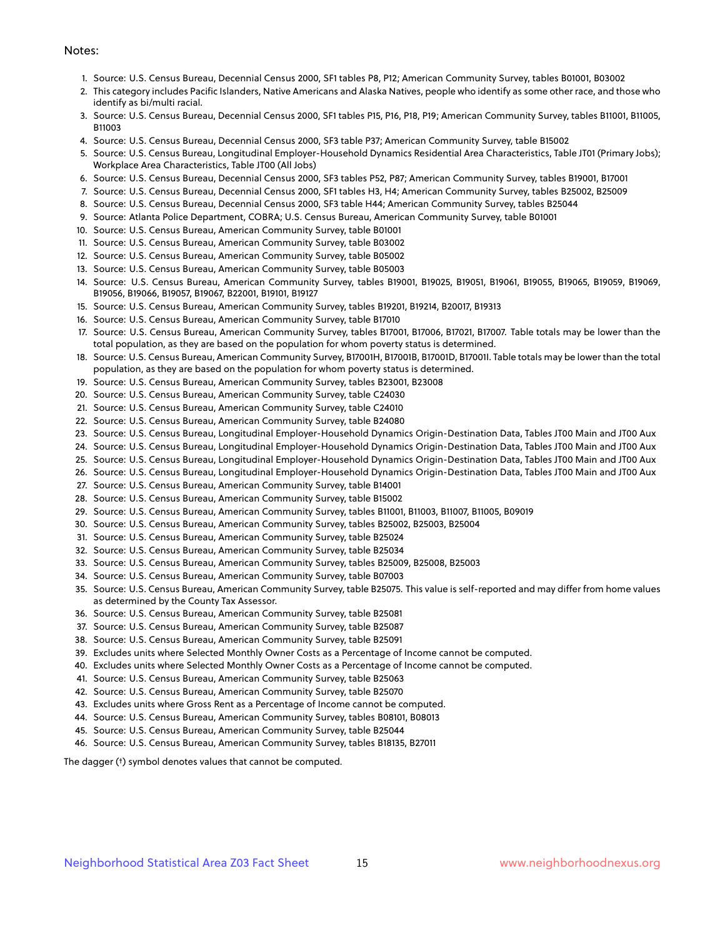#### Notes:

- 1. Source: U.S. Census Bureau, Decennial Census 2000, SF1 tables P8, P12; American Community Survey, tables B01001, B03002
- 2. This category includes Pacific Islanders, Native Americans and Alaska Natives, people who identify as some other race, and those who identify as bi/multi racial.
- 3. Source: U.S. Census Bureau, Decennial Census 2000, SF1 tables P15, P16, P18, P19; American Community Survey, tables B11001, B11005, B11003
- 4. Source: U.S. Census Bureau, Decennial Census 2000, SF3 table P37; American Community Survey, table B15002
- 5. Source: U.S. Census Bureau, Longitudinal Employer-Household Dynamics Residential Area Characteristics, Table JT01 (Primary Jobs); Workplace Area Characteristics, Table JT00 (All Jobs)
- 6. Source: U.S. Census Bureau, Decennial Census 2000, SF3 tables P52, P87; American Community Survey, tables B19001, B17001
- 7. Source: U.S. Census Bureau, Decennial Census 2000, SF1 tables H3, H4; American Community Survey, tables B25002, B25009
- 8. Source: U.S. Census Bureau, Decennial Census 2000, SF3 table H44; American Community Survey, tables B25044
- 9. Source: Atlanta Police Department, COBRA; U.S. Census Bureau, American Community Survey, table B01001
- 10. Source: U.S. Census Bureau, American Community Survey, table B01001
- 11. Source: U.S. Census Bureau, American Community Survey, table B03002
- 12. Source: U.S. Census Bureau, American Community Survey, table B05002
- 13. Source: U.S. Census Bureau, American Community Survey, table B05003
- 14. Source: U.S. Census Bureau, American Community Survey, tables B19001, B19025, B19051, B19061, B19055, B19065, B19059, B19069, B19056, B19066, B19057, B19067, B22001, B19101, B19127
- 15. Source: U.S. Census Bureau, American Community Survey, tables B19201, B19214, B20017, B19313
- 16. Source: U.S. Census Bureau, American Community Survey, table B17010
- 17. Source: U.S. Census Bureau, American Community Survey, tables B17001, B17006, B17021, B17007. Table totals may be lower than the total population, as they are based on the population for whom poverty status is determined.
- 18. Source: U.S. Census Bureau, American Community Survey, B17001H, B17001B, B17001D, B17001I. Table totals may be lower than the total population, as they are based on the population for whom poverty status is determined.
- 19. Source: U.S. Census Bureau, American Community Survey, tables B23001, B23008
- 20. Source: U.S. Census Bureau, American Community Survey, table C24030
- 21. Source: U.S. Census Bureau, American Community Survey, table C24010
- 22. Source: U.S. Census Bureau, American Community Survey, table B24080
- 23. Source: U.S. Census Bureau, Longitudinal Employer-Household Dynamics Origin-Destination Data, Tables JT00 Main and JT00 Aux
- 24. Source: U.S. Census Bureau, Longitudinal Employer-Household Dynamics Origin-Destination Data, Tables JT00 Main and JT00 Aux
- 25. Source: U.S. Census Bureau, Longitudinal Employer-Household Dynamics Origin-Destination Data, Tables JT00 Main and JT00 Aux
- 26. Source: U.S. Census Bureau, Longitudinal Employer-Household Dynamics Origin-Destination Data, Tables JT00 Main and JT00 Aux
- 27. Source: U.S. Census Bureau, American Community Survey, table B14001
- 28. Source: U.S. Census Bureau, American Community Survey, table B15002
- 29. Source: U.S. Census Bureau, American Community Survey, tables B11001, B11003, B11007, B11005, B09019
- 30. Source: U.S. Census Bureau, American Community Survey, tables B25002, B25003, B25004
- 31. Source: U.S. Census Bureau, American Community Survey, table B25024
- 32. Source: U.S. Census Bureau, American Community Survey, table B25034
- 33. Source: U.S. Census Bureau, American Community Survey, tables B25009, B25008, B25003
- 34. Source: U.S. Census Bureau, American Community Survey, table B07003
- 35. Source: U.S. Census Bureau, American Community Survey, table B25075. This value is self-reported and may differ from home values as determined by the County Tax Assessor.
- 36. Source: U.S. Census Bureau, American Community Survey, table B25081
- 37. Source: U.S. Census Bureau, American Community Survey, table B25087
- 38. Source: U.S. Census Bureau, American Community Survey, table B25091
- 39. Excludes units where Selected Monthly Owner Costs as a Percentage of Income cannot be computed.
- 40. Excludes units where Selected Monthly Owner Costs as a Percentage of Income cannot be computed.
- 41. Source: U.S. Census Bureau, American Community Survey, table B25063
- 42. Source: U.S. Census Bureau, American Community Survey, table B25070
- 43. Excludes units where Gross Rent as a Percentage of Income cannot be computed.
- 44. Source: U.S. Census Bureau, American Community Survey, tables B08101, B08013
- 45. Source: U.S. Census Bureau, American Community Survey, table B25044
- 46. Source: U.S. Census Bureau, American Community Survey, tables B18135, B27011

The dagger (†) symbol denotes values that cannot be computed.